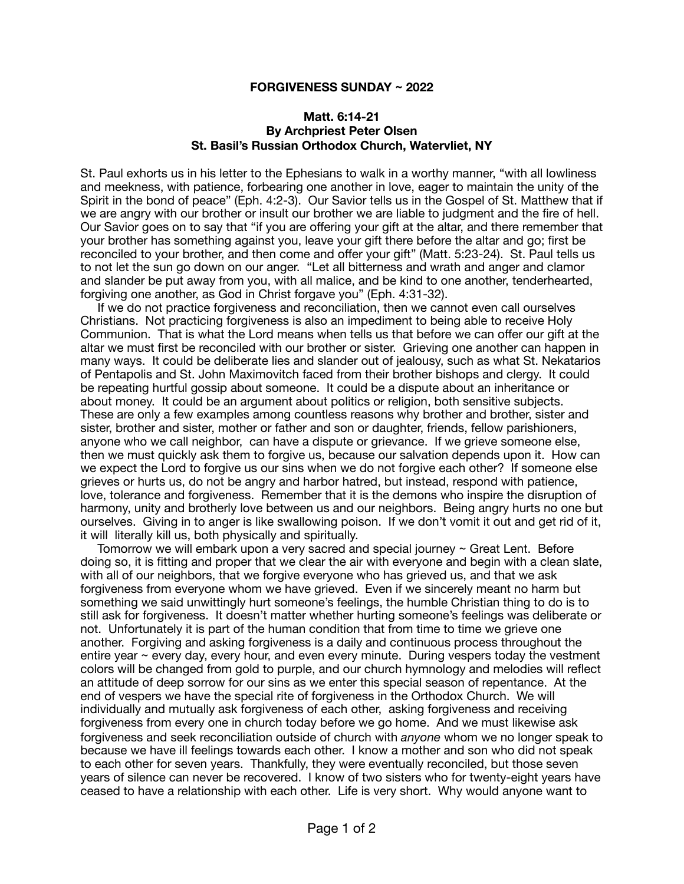## **FORGIVENESS SUNDAY ~ 2022**

## **Matt. 6:14-21 By Archpriest Peter Olsen St. Basil's Russian Orthodox Church, Watervliet, NY**

St. Paul exhorts us in his letter to the Ephesians to walk in a worthy manner, "with all lowliness and meekness, with patience, forbearing one another in love, eager to maintain the unity of the Spirit in the bond of peace" (Eph. 4:2-3). Our Savior tells us in the Gospel of St. Matthew that if we are angry with our brother or insult our brother we are liable to judgment and the fire of hell. Our Savior goes on to say that "if you are offering your gift at the altar, and there remember that your brother has something against you, leave your gift there before the altar and go; first be reconciled to your brother, and then come and offer your gift" (Matt. 5:23-24). St. Paul tells us to not let the sun go down on our anger. "Let all bitterness and wrath and anger and clamor and slander be put away from you, with all malice, and be kind to one another, tenderhearted, forgiving one another, as God in Christ forgave you" (Eph. 4:31-32).

 If we do not practice forgiveness and reconciliation, then we cannot even call ourselves Christians. Not practicing forgiveness is also an impediment to being able to receive Holy Communion. That is what the Lord means when tells us that before we can offer our gift at the altar we must first be reconciled with our brother or sister. Grieving one another can happen in many ways. It could be deliberate lies and slander out of jealousy, such as what St. Nekatarios of Pentapolis and St. John Maximovitch faced from their brother bishops and clergy. It could be repeating hurtful gossip about someone. It could be a dispute about an inheritance or about money. It could be an argument about politics or religion, both sensitive subjects. These are only a few examples among countless reasons why brother and brother, sister and sister, brother and sister, mother or father and son or daughter, friends, fellow parishioners, anyone who we call neighbor, can have a dispute or grievance. If we grieve someone else, then we must quickly ask them to forgive us, because our salvation depends upon it. How can we expect the Lord to forgive us our sins when we do not forgive each other? If someone else grieves or hurts us, do not be angry and harbor hatred, but instead, respond with patience, love, tolerance and forgiveness. Remember that it is the demons who inspire the disruption of harmony, unity and brotherly love between us and our neighbors. Being angry hurts no one but ourselves. Giving in to anger is like swallowing poison. If we don't vomit it out and get rid of it, it will literally kill us, both physically and spiritually.

 Tomorrow we will embark upon a very sacred and special journey ~ Great Lent. Before doing so, it is fitting and proper that we clear the air with everyone and begin with a clean slate, with all of our neighbors, that we forgive everyone who has grieved us, and that we ask forgiveness from everyone whom we have grieved. Even if we sincerely meant no harm but something we said unwittingly hurt someone's feelings, the humble Christian thing to do is to still ask for forgiveness. It doesn't matter whether hurting someone's feelings was deliberate or not. Unfortunately it is part of the human condition that from time to time we grieve one another. Forgiving and asking forgiveness is a daily and continuous process throughout the entire year  $\sim$  every day, every hour, and even every minute. During vespers today the vestment colors will be changed from gold to purple, and our church hymnology and melodies will reflect an attitude of deep sorrow for our sins as we enter this special season of repentance. At the end of vespers we have the special rite of forgiveness in the Orthodox Church. We will individually and mutually ask forgiveness of each other, asking forgiveness and receiving forgiveness from every one in church today before we go home. And we must likewise ask forgiveness and seek reconciliation outside of church with *anyone* whom we no longer speak to because we have ill feelings towards each other. I know a mother and son who did not speak to each other for seven years. Thankfully, they were eventually reconciled, but those seven years of silence can never be recovered. I know of two sisters who for twenty-eight years have ceased to have a relationship with each other. Life is very short. Why would anyone want to